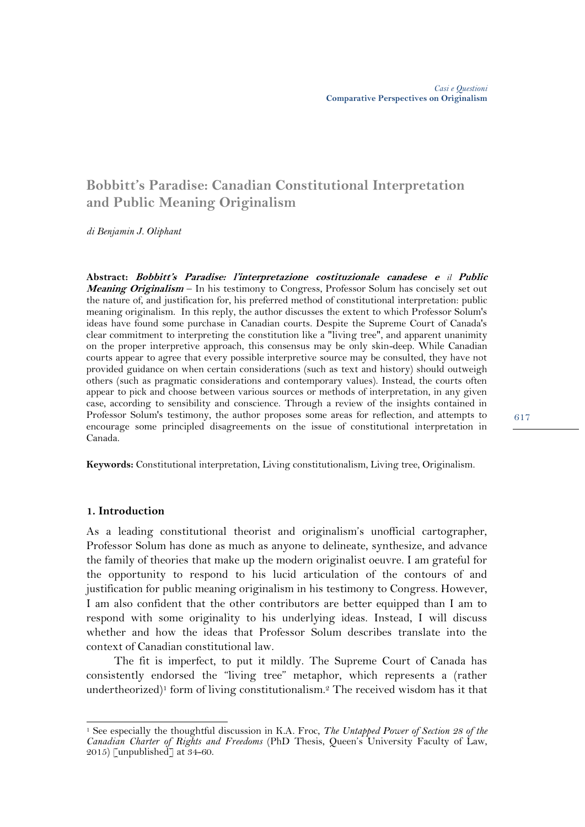# **Bobbitt's Paradise: Canadian Constitutional Interpretation and Public Meaning Originalism**

*di Benjamin J. Oliphant*

**Abstract: Bobbitt's Paradise: l'interpretazione costituzionale canadese e** *il* **Public Meaning Originalism** – In his testimony to Congress, Professor Solum has concisely set out the nature of, and justification for, his preferred method of constitutional interpretation: public meaning originalism. In this reply, the author discusses the extent to which Professor Solum's ideas have found some purchase in Canadian courts. Despite the Supreme Court of Canada's clear commitment to interpreting the constitution like a "living tree", and apparent unanimity on the proper interpretive approach, this consensus may be only skin-deep. While Canadian courts appear to agree that every possible interpretive source may be consulted, they have not provided guidance on when certain considerations (such as text and history) should outweigh others (such as pragmatic considerations and contemporary values). Instead, the courts often appear to pick and choose between various sources or methods of interpretation, in any given case, according to sensibility and conscience. Through a review of the insights contained in Professor Solum's testimony, the author proposes some areas for reflection, and attempts to encourage some principled disagreements on the issue of constitutional interpretation in Canada.

**Keywords:** Constitutional interpretation, Living constitutionalism, Living tree, Originalism.

#### **1. Introduction**

 $\overline{a}$ 

As a leading constitutional theorist and originalism's unofficial cartographer, Professor Solum has done as much as anyone to delineate, synthesize, and advance the family of theories that make up the modern originalist oeuvre. I am grateful for the opportunity to respond to his lucid articulation of the contours of and justification for public meaning originalism in his testimony to Congress. However, I am also confident that the other contributors are better equipped than I am to respond with some originality to his underlying ideas. Instead, I will discuss whether and how the ideas that Professor Solum describes translate into the context of Canadian constitutional law.

The fit is imperfect, to put it mildly. The Supreme Court of Canada has consistently endorsed the "living tree" metaphor, which represents a (rather undertheorized)<sup>1</sup> form of living constitutionalism.<sup>2</sup> The received wisdom has it that

<sup>1</sup> See especially the thoughtful discussion in K.A. Froc, *The Untapped Power of Section 28 of the Canadian Charter of Rights and Freedoms* (PhD Thesis, Queen's University Faculty of Law, 2015) [unpublished] at  $34-60$ .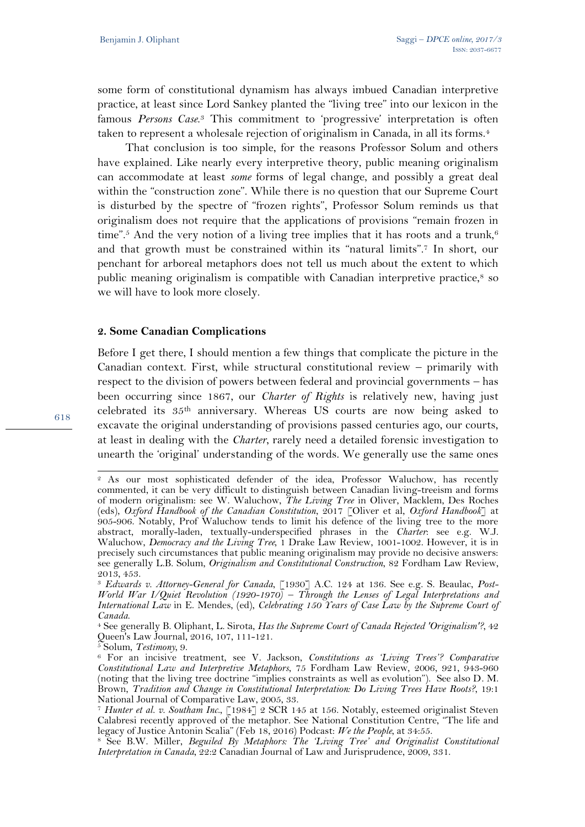some form of constitutional dynamism has always imbued Canadian interpretive practice, at least since Lord Sankey planted the "living tree" into our lexicon in the famous *Persons Case*. <sup>3</sup> This commitment to 'progressive' interpretation is often taken to represent a wholesale rejection of originalism in Canada, in all its forms.<sup>4</sup>

That conclusion is too simple, for the reasons Professor Solum and others have explained. Like nearly every interpretive theory, public meaning originalism can accommodate at least *some* forms of legal change, and possibly a great deal within the "construction zone". While there is no question that our Supreme Court is disturbed by the spectre of "frozen rights", Professor Solum reminds us that originalism does not require that the applications of provisions "remain frozen in time".<sup>5</sup> And the very notion of a living tree implies that it has roots and a trunk,<sup>6</sup> and that growth must be constrained within its "natural limits".<sup>7</sup> In short, our penchant for arboreal metaphors does not tell us much about the extent to which public meaning originalism is compatible with Canadian interpretive practice, $\frac{8}{3}$  so we will have to look more closely.

#### **2. Some Canadian Complications**

Before I get there, I should mention a few things that complicate the picture in the Canadian context. First, while structural constitutional review – primarily with respect to the division of powers between federal and provincial governments – has been occurring since 1867, our *Charter of Rights* is relatively new, having just celebrated its 35th anniversary. Whereas US courts are now being asked to excavate the original understanding of provisions passed centuries ago, our courts, at least in dealing with the *Charter*, rarely need a detailed forensic investigation to unearth the 'original' understanding of the words. We generally use the same ones

 $\overline{a}$ 

<sup>2</sup> As our most sophisticated defender of the idea, Professor Waluchow, has recently commented, it can be very difficult to distinguish between Canadian living-treeism and forms of modern originalism: see W. Waluchow, *The Living Tree* in Oliver, Macklem, Des Roches (eds), *Oxford Handbook of the Canadian Constitution*, 2017 [Oliver et al, *Oxford Handbook*] at 905-906. Notably, Prof Waluchow tends to limit his defence of the living tree to the more abstract, morally-laden, textually-underspecified phrases in the *Charter*: see e.g. W.J. Waluchow, *Democracy and the Living Tree,* 1 Drake Law Review, 1001-1002. However, it is in precisely such circumstances that public meaning originalism may provide no decisive answers: see generally L.B. Solum, *Originalism and Constitutional Construction*, 82 Fordham Law Review, 2013, 453.

<sup>3</sup> *Edwards v. Attorney-General for Canada*, [1930] A.C. 124 at 136. See e.g. S. Beaulac, *Post-World War I/Quiet Revolution (1920-1970) – Through the Lenses of Legal Interpretations and International Law* in E. Mendes, (ed), *Celebrating 150 Years of Case Law by the Supreme Court of Canada*.

<sup>4</sup> See generally B. Oliphant, L. Sirota, *Has the Supreme Court of Canada Rejected 'Originalism'?*, 42 Queen's Law Journal, 2016, 107, 111-121.

<sup>5</sup> Solum, *Testimony*, 9.

<sup>6</sup> For an incisive treatment, see V. Jackson, *Constitutions as 'Living Trees'? Comparative Constitutional Law and Interpretive Metaphors*, 75 Fordham Law Review, 2006, 921, 943-960 (noting that the living tree doctrine "implies constraints as well as evolution"). See also D. M. Brown, *Tradition and Change in Constitutional Interpretation: Do Living Trees Have Roots?*, 19:1 National Journal of Comparative Law, 2005, 33.

<sup>7</sup> *Hunter et al. v. Southam Inc.*, [1984] 2 SCR 145 at 156. Notably, esteemed originalist Steven Calabresi recently approved of the metaphor. See National Constitution Centre, "The life and legacy of Justice Antonin Scalia" (Feb 18, 2016) Podcast: *We the People*, at 34:55.

<sup>8</sup> See B.W. Miller, *Beguiled By Metaphors: The 'Living Tree' and Originalist Constitutional Interpretation in Canada*, 22:2 Canadian Journal of Law and Jurisprudence, 2009, 331.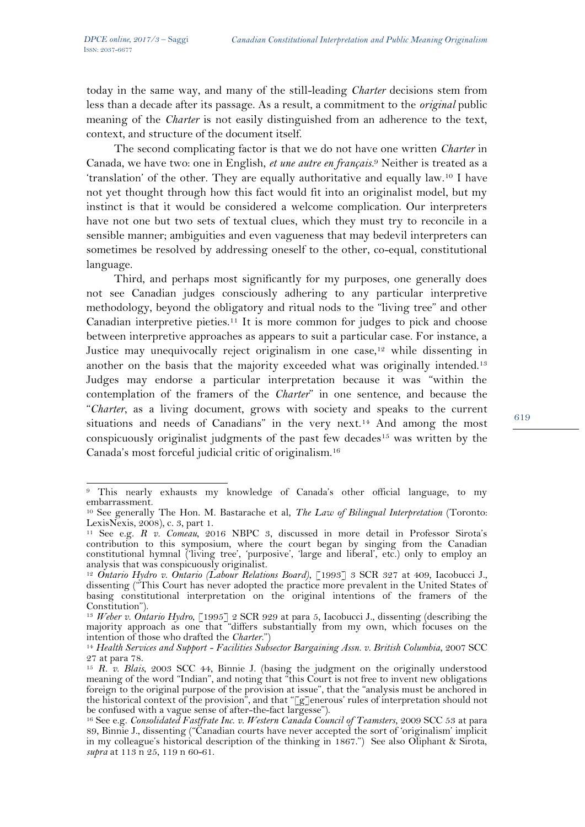today in the same way, and many of the still-leading *Charter* decisions stem from less than a decade after its passage. As a result, a commitment to the *original* public meaning of the *Charter* is not easily distinguished from an adherence to the text, context, and structure of the document itself.

The second complicating factor is that we do not have one written *Charter* in Canada, we have two: one in English, *et une autre en français.*<sup>9</sup> Neither is treated as a 'translation' of the other. They are equally authoritative and equally law.<sup>10</sup> I have not yet thought through how this fact would fit into an originalist model, but my instinct is that it would be considered a welcome complication. Our interpreters have not one but two sets of textual clues, which they must try to reconcile in a sensible manner; ambiguities and even vagueness that may bedevil interpreters can sometimes be resolved by addressing oneself to the other, co-equal, constitutional language.

Third, and perhaps most significantly for my purposes, one generally does not see Canadian judges consciously adhering to any particular interpretive methodology, beyond the obligatory and ritual nods to the "living tree" and other Canadian interpretive pieties.<sup>11</sup> It is more common for judges to pick and choose between interpretive approaches as appears to suit a particular case. For instance, a Justice may unequivocally reject originalism in one case,<sup>12</sup> while dissenting in another on the basis that the majority exceeded what was originally intended.<sup>13</sup> Judges may endorse a particular interpretation because it was "within the contemplation of the framers of the *Charter*" in one sentence, and because the "*Charter*, as a living document, grows with society and speaks to the current situations and needs of Canadians" in the very next.<sup>14</sup> And among the most conspicuously originalist judgments of the past few decades<sup>15</sup> was written by the Canada's most forceful judicial critic of originalism.<sup>16</sup>

l <sup>9</sup> This nearly exhausts my knowledge of Canada's other official language, to my embarrassment.

<sup>10</sup> See generally The Hon. M. Bastarache et al, *The Law of Bilingual Interpretation* (Toronto: LexisNexis, 2008), c. 3, part 1.

<sup>11</sup> See e.g. *R v. Comeau*, 2016 NBPC 3, discussed in more detail in Professor Sirota's contribution to this symposium, where the court began by singing from the Canadian constitutional hymnal ('living tree', 'purposive', 'large and liberal', etc.) only to employ an analysis that was conspicuously originalist.

<sup>&</sup>lt;sup>12</sup> *Ontario Hydro v. Ontario (Labour Relations Board)*, [1993] 3 SCR 327 at 409, Iacobucci J., dissenting ("This Court has never adopted the practice more prevalent in the United States of basing constitutional interpretation on the original intentions of the framers of the Constitution").

<sup>13</sup> *Weber v. Ontario Hydro*, [1995] 2 SCR 929 at para 5, Iacobucci J., dissenting (describing the majority approach as one that "differs substantially from my own, which focuses on the intention of those who drafted the *Charter*.")

<sup>14</sup> *Health Services and Support - Facilities Subsector Bargaining Assn. v. British Columbia*, 2007 SCC 27 at para 78.

<sup>15</sup> *R. v. Blais*, 2003 SCC 44, Binnie J. (basing the judgment on the originally understood meaning of the word "Indian", and noting that "this Court is not free to invent new obligations foreign to the original purpose of the provision at issue", that the "analysis must be anchored in the historical context of the provision", and that " $[g]$ enerous' rules of interpretation should not be confused with a vague sense of after-the-fact largesse").

<sup>16</sup> See e.g. *Consolidated Fastfrate Inc. v. Western Canada Council of Teamsters*, 2009 SCC 53 at para 89, Binnie J., dissenting ("Canadian courts have never accepted the sort of 'originalism' implicit in my colleague's historical description of the thinking in 1867.") See also Oliphant & Sirota, *supra* at 113 n 25, 119 n 60-61.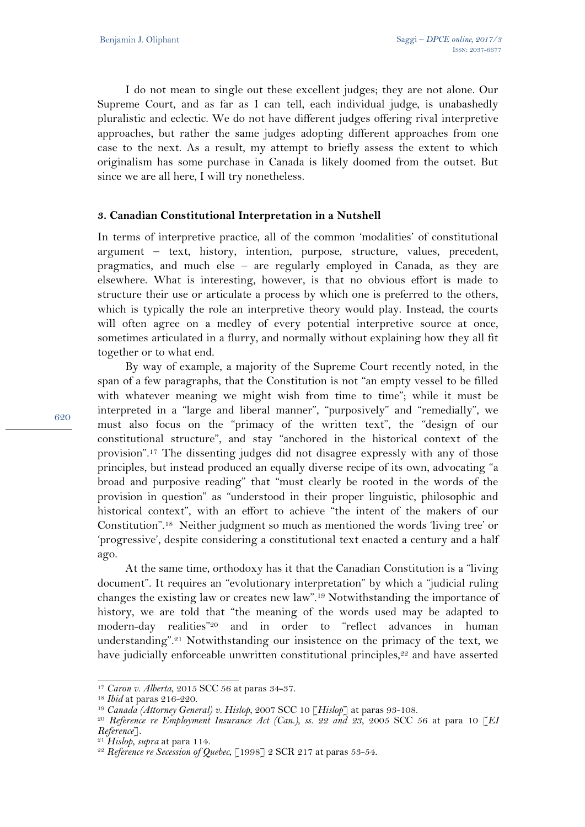I do not mean to single out these excellent judges; they are not alone. Our Supreme Court, and as far as I can tell, each individual judge, is unabashedly pluralistic and eclectic. We do not have different judges offering rival interpretive approaches, but rather the same judges adopting different approaches from one case to the next. As a result, my attempt to briefly assess the extent to which originalism has some purchase in Canada is likely doomed from the outset. But since we are all here, I will try nonetheless.

## **3. Canadian Constitutional Interpretation in a Nutshell**

In terms of interpretive practice, all of the common 'modalities' of constitutional argument – text, history, intention, purpose, structure, values, precedent, pragmatics, and much else – are regularly employed in Canada, as they are elsewhere. What is interesting, however, is that no obvious effort is made to structure their use or articulate a process by which one is preferred to the others, which is typically the role an interpretive theory would play. Instead, the courts will often agree on a medley of every potential interpretive source at once, sometimes articulated in a flurry, and normally without explaining how they all fit together or to what end.

By way of example, a majority of the Supreme Court recently noted, in the span of a few paragraphs, that the Constitution is not "an empty vessel to be filled with whatever meaning we might wish from time to time"; while it must be interpreted in a "large and liberal manner", "purposively" and "remedially", we must also focus on the "primacy of the written text", the "design of our constitutional structure", and stay "anchored in the historical context of the provision".<sup>17</sup> The dissenting judges did not disagree expressly with any of those principles, but instead produced an equally diverse recipe of its own, advocating "a broad and purposive reading" that "must clearly be rooted in the words of the provision in question" as "understood in their proper linguistic, philosophic and historical context", with an effort to achieve "the intent of the makers of our Constitution".<sup>18</sup> Neither judgment so much as mentioned the words 'living tree' or 'progressive', despite considering a constitutional text enacted a century and a half ago.

At the same time, orthodoxy has it that the Canadian Constitution is a "living document". It requires an "evolutionary interpretation" by which a "judicial ruling changes the existing law or creates new law".<sup>19</sup> Notwithstanding the importance of history, we are told that "the meaning of the words used may be adapted to modern-day realities"<sup>20</sup> and in order to "reflect advances in human understanding".<sup>21</sup> Notwithstanding our insistence on the primacy of the text, we have judicially enforceable unwritten constitutional principles,<sup>22</sup> and have asserted

 $\overline{a}$ <sup>17</sup> *Caron v. Alberta*, 2015 SCC 56 at paras 34-37.

<sup>18</sup> *Ibid* at paras 216-220.

<sup>19</sup> *Canada (Attorney General) v. Hislop*, 2007 SCC 10 [*Hislop*] at paras 93-108.

<sup>20</sup> *Reference re Employment Insurance Act (Can.), ss. 22 and 23*, 2005 SCC 56 at para 10 [*EI Reference*].

<sup>21</sup> *Hislop*, *supra* at para 114.

<sup>22</sup> *Reference re Secession of Quebec*, [1998] 2 SCR 217 at paras 53-54.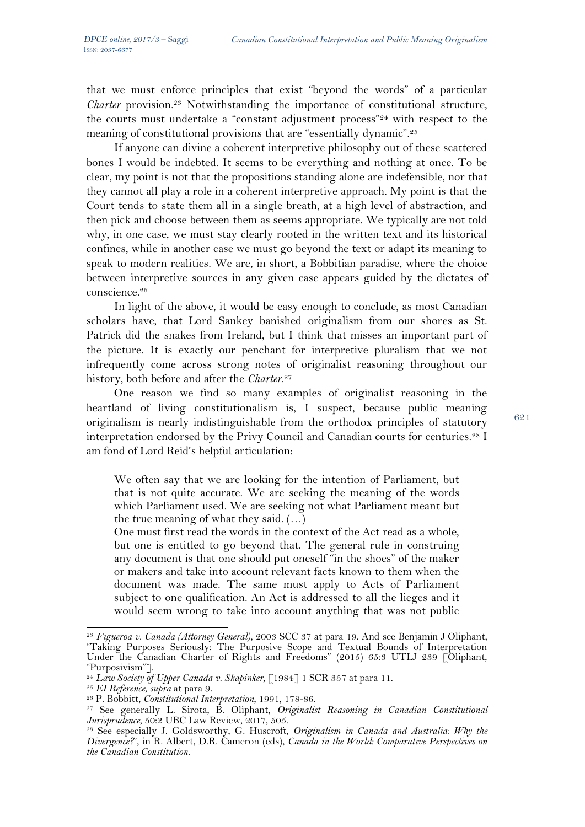that we must enforce principles that exist "beyond the words" of a particular *Charter* provision.<sup>23</sup> Notwithstanding the importance of constitutional structure, the courts must undertake a "constant adjustment process"<sup>24</sup> with respect to the meaning of constitutional provisions that are "essentially dynamic".<sup>25</sup>

If anyone can divine a coherent interpretive philosophy out of these scattered bones I would be indebted. It seems to be everything and nothing at once. To be clear, my point is not that the propositions standing alone are indefensible, nor that they cannot all play a role in a coherent interpretive approach. My point is that the Court tends to state them all in a single breath, at a high level of abstraction, and then pick and choose between them as seems appropriate. We typically are not told why, in one case, we must stay clearly rooted in the written text and its historical confines, while in another case we must go beyond the text or adapt its meaning to speak to modern realities. We are, in short, a Bobbitian paradise, where the choice between interpretive sources in any given case appears guided by the dictates of conscience.<sup>26</sup>

In light of the above, it would be easy enough to conclude, as most Canadian scholars have, that Lord Sankey banished originalism from our shores as St. Patrick did the snakes from Ireland, but I think that misses an important part of the picture. It is exactly our penchant for interpretive pluralism that we not infrequently come across strong notes of originalist reasoning throughout our history, both before and after the *Charter*. 27

One reason we find so many examples of originalist reasoning in the heartland of living constitutionalism is, I suspect, because public meaning originalism is nearly indistinguishable from the orthodox principles of statutory interpretation endorsed by the Privy Council and Canadian courts for centuries.<sup>28</sup> I am fond of Lord Reid's helpful articulation:

We often say that we are looking for the intention of Parliament, but that is not quite accurate. We are seeking the meaning of the words which Parliament used. We are seeking not what Parliament meant but the true meaning of what they said. (…)

One must first read the words in the context of the Act read as a whole, but one is entitled to go beyond that. The general rule in construing any document is that one should put oneself "in the shoes" of the maker or makers and take into account relevant facts known to them when the document was made. The same must apply to Acts of Parliament subject to one qualification. An Act is addressed to all the lieges and it would seem wrong to take into account anything that was not public

 $\overline{a}$ <sup>23</sup> *Figueroa v. Canada (Attorney General)*, 2003 SCC 37 at para 19. And see Benjamin J Oliphant, "Taking Purposes Seriously: The Purposive Scope and Textual Bounds of Interpretation Under the Canadian Charter of Rights and Freedoms" (2015) 65:3 UTLJ 239 [Oliphant, "Purposivism"].

<sup>&</sup>lt;sup>24</sup> Law Society of Upper Canada v. Skapinker, [1984] 1 SCR 357 at para 11.

<sup>25</sup> *EI Reference*, *supra* at para 9.

<sup>26</sup> P. Bobbitt, *Constitutional Interpretation*, 1991, 178-86.

<sup>27</sup> See generally L. Sirota, B. Oliphant, *Originalist Reasoning in Canadian Constitutional Jurisprudence*, 50:2 UBC Law Review, 2017, 505.

<sup>28</sup> See especially J. Goldsworthy, G. Huscroft, *Originalism in Canada and Australia: Why the Divergence?*", in R. Albert, D.R. Cameron (eds), *Canada in the World: Comparative Perspectives on the Canadian Constitution*.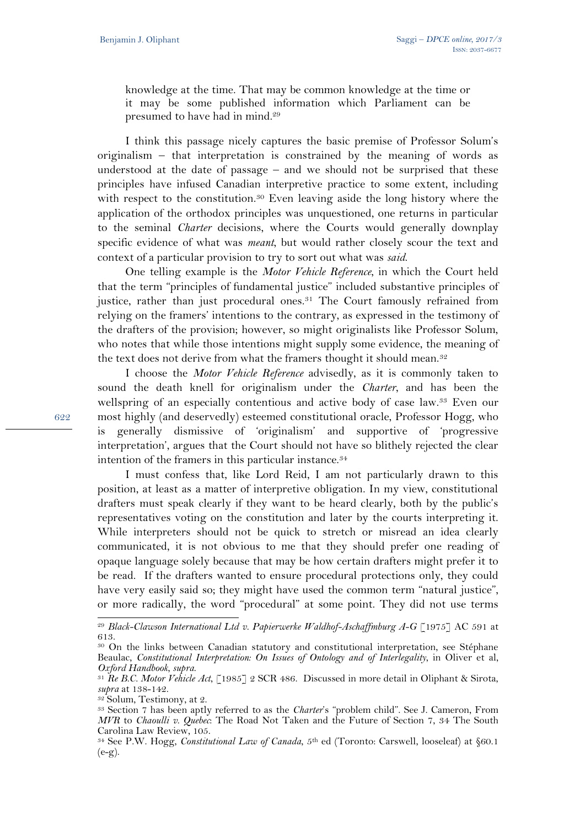knowledge at the time. That may be common knowledge at the time or it may be some published information which Parliament can be presumed to have had in mind.<sup>29</sup>

I think this passage nicely captures the basic premise of Professor Solum's originalism – that interpretation is constrained by the meaning of words as understood at the date of passage – and we should not be surprised that these principles have infused Canadian interpretive practice to some extent, including with respect to the constitution.<sup>30</sup> Even leaving aside the long history where the application of the orthodox principles was unquestioned, one returns in particular to the seminal *Charter* decisions, where the Courts would generally downplay specific evidence of what was *meant*, but would rather closely scour the text and context of a particular provision to try to sort out what was *said*.

One telling example is the *Motor Vehicle Reference*, in which the Court held that the term "principles of fundamental justice" included substantive principles of justice, rather than just procedural ones.<sup>31</sup> The Court famously refrained from relying on the framers' intentions to the contrary, as expressed in the testimony of the drafters of the provision; however, so might originalists like Professor Solum, who notes that while those intentions might supply some evidence, the meaning of the text does not derive from what the framers thought it should mean.<sup>32</sup>

I choose the *Motor Vehicle Reference* advisedly, as it is commonly taken to sound the death knell for originalism under the *Charter*, and has been the wellspring of an especially contentious and active body of case law.<sup>33</sup> Even our most highly (and deservedly) esteemed constitutional oracle, Professor Hogg, who is generally dismissive of 'originalism' and supportive of 'progressive interpretation', argues that the Court should not have so blithely rejected the clear intention of the framers in this particular instance.<sup>34</sup>

I must confess that, like Lord Reid, I am not particularly drawn to this position, at least as a matter of interpretive obligation. In my view, constitutional drafters must speak clearly if they want to be heard clearly, both by the public's representatives voting on the constitution and later by the courts interpreting it. While interpreters should not be quick to stretch or misread an idea clearly communicated, it is not obvious to me that they should prefer one reading of opaque language solely because that may be how certain drafters might prefer it to be read. If the drafters wanted to ensure procedural protections only, they could have very easily said so; they might have used the common term "natural justice", or more radically, the word "procedural" at some point. They did not use terms

<sup>32</sup> Solum, Testimony, at 2.

l

<sup>29</sup> *Black-Clawson International Ltd v. Papierwerke Waldhof-Aschaffmburg A-G* [1975] AC 591 at 613.

<sup>30</sup> On the links between Canadian statutory and constitutional interpretation, see Stéphane Beaulac, *Constitutional Interpretation: On Issues of Ontology and of Interlegality*, in Oliver et al, *Oxford Handbook*, *supra*.

<sup>31</sup> *Re B.C. Motor Vehicle Act*, [1985] 2 SCR 486. Discussed in more detail in Oliphant & Sirota, *supra* at 138-142.

<sup>33</sup> Section 7 has been aptly referred to as the *Charter*'s "problem child". See J. Cameron, From *MVR* to *Chaoulli v. Quebec*: The Road Not Taken and the Future of Section 7, 34 The South Carolina Law Review, 105.

<sup>34</sup> See P.W. Hogg, *Constitutional Law of Canada*, 5th ed (Toronto: Carswell, looseleaf) at §60.1  $(e-g)$ .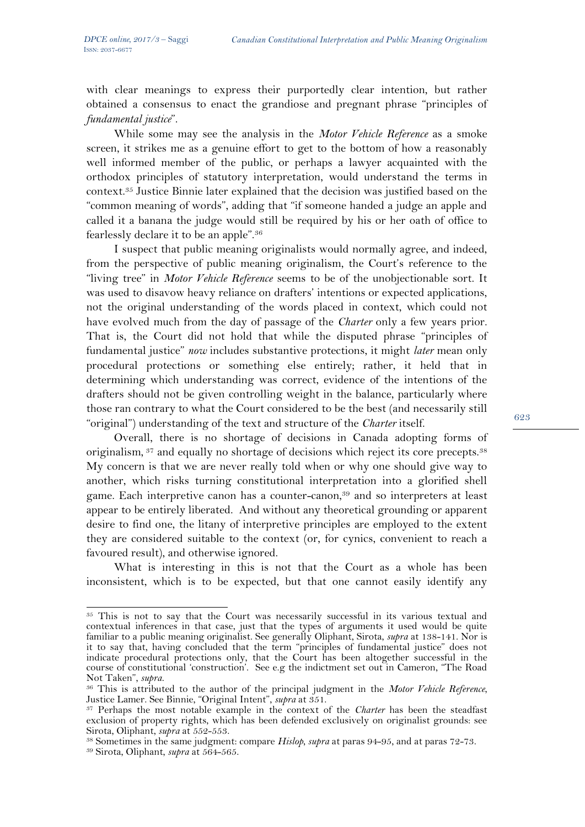with clear meanings to express their purportedly clear intention, but rather obtained a consensus to enact the grandiose and pregnant phrase "principles of *fundamental justice*".

While some may see the analysis in the *Motor Vehicle Reference* as a smoke screen, it strikes me as a genuine effort to get to the bottom of how a reasonably well informed member of the public, or perhaps a lawyer acquainted with the orthodox principles of statutory interpretation, would understand the terms in context.<sup>35</sup> Justice Binnie later explained that the decision was justified based on the "common meaning of words", adding that "if someone handed a judge an apple and called it a banana the judge would still be required by his or her oath of office to fearlessly declare it to be an apple".<sup>36</sup>

I suspect that public meaning originalists would normally agree, and indeed, from the perspective of public meaning originalism, the Court's reference to the "living tree" in *Motor Vehicle Reference* seems to be of the unobjectionable sort. It was used to disavow heavy reliance on drafters' intentions or expected applications, not the original understanding of the words placed in context, which could not have evolved much from the day of passage of the *Charter* only a few years prior. That is, the Court did not hold that while the disputed phrase "principles of fundamental justice" *now* includes substantive protections, it might *later* mean only procedural protections or something else entirely; rather, it held that in determining which understanding was correct, evidence of the intentions of the drafters should not be given controlling weight in the balance, particularly where those ran contrary to what the Court considered to be the best (and necessarily still "original") understanding of the text and structure of the *Charter* itself.

Overall, there is no shortage of decisions in Canada adopting forms of originalism, <sup>37</sup> and equally no shortage of decisions which reject its core precepts.<sup>38</sup> My concern is that we are never really told when or why one should give way to another, which risks turning constitutional interpretation into a glorified shell game. Each interpretive canon has a counter-canon,<sup>39</sup> and so interpreters at least appear to be entirely liberated. And without any theoretical grounding or apparent desire to find one, the litany of interpretive principles are employed to the extent they are considered suitable to the context (or, for cynics, convenient to reach a favoured result), and otherwise ignored.

What is interesting in this is not that the Court as a whole has been inconsistent, which is to be expected, but that one cannot easily identify any

l

<sup>&</sup>lt;sup>35</sup> This is not to say that the Court was necessarily successful in its various textual and contextual inferences in that case, just that the types of arguments it used would be quite familiar to a public meaning originalist. See generally Oliphant, Sirota, *supra* at 138-141. Nor is it to say that, having concluded that the term "principles of fundamental justice" does not indicate procedural protections only, that the Court has been altogether successful in the course of constitutional 'construction'. See e.g the indictment set out in Cameron, "The Road Not Taken", *supra*.

<sup>36</sup> This is attributed to the author of the principal judgment in the *Motor Vehicle Reference*, Justice Lamer. See Binnie, "Original Intent", *supra* at 351.

<sup>37</sup> Perhaps the most notable example in the context of the *Charter* has been the steadfast exclusion of property rights, which has been defended exclusively on originalist grounds: see Sirota, Oliphant, *supra* at 552-553.

<sup>38</sup> Sometimes in the same judgment: compare *Hislop*, *supra* at paras 94-95, and at paras 72-73.

<sup>39</sup> Sirota, Oliphant, *supra* at 564-565.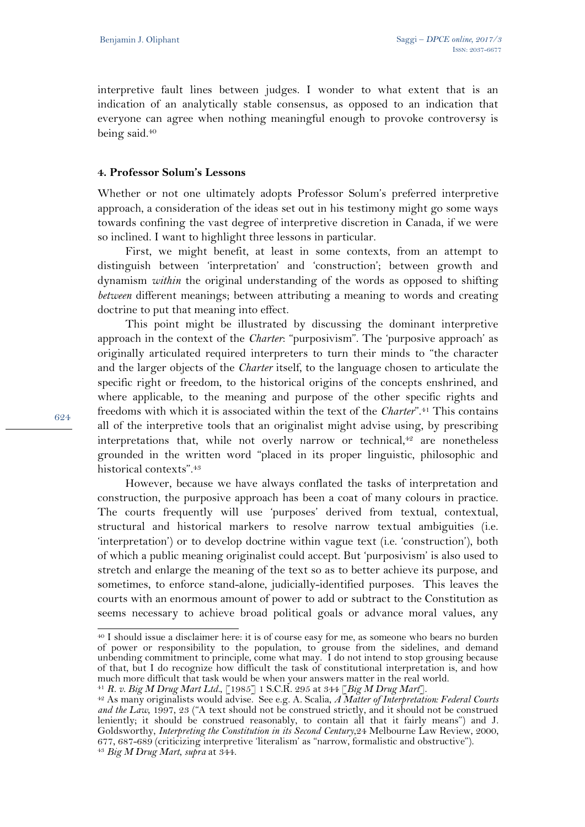interpretive fault lines between judges. I wonder to what extent that is an indication of an analytically stable consensus, as opposed to an indication that everyone can agree when nothing meaningful enough to provoke controversy is being said.<sup>40</sup>

### **4. Professor Solum's Lessons**

Whether or not one ultimately adopts Professor Solum's preferred interpretive approach, a consideration of the ideas set out in his testimony might go some ways towards confining the vast degree of interpretive discretion in Canada, if we were so inclined. I want to highlight three lessons in particular.

First, we might benefit, at least in some contexts, from an attempt to distinguish between 'interpretation' and 'construction'; between growth and dynamism *within* the original understanding of the words as opposed to shifting *between* different meanings; between attributing a meaning to words and creating doctrine to put that meaning into effect.

This point might be illustrated by discussing the dominant interpretive approach in the context of the *Charter*: "purposivism". The 'purposive approach' as originally articulated required interpreters to turn their minds to "the character and the larger objects of the *Charter* itself, to the language chosen to articulate the specific right or freedom, to the historical origins of the concepts enshrined, and where applicable, to the meaning and purpose of the other specific rights and freedoms with which it is associated within the text of the *Charter*".<sup>41</sup> This contains all of the interpretive tools that an originalist might advise using, by prescribing interpretations that, while not overly narrow or technical,<sup>42</sup> are nonetheless grounded in the written word "placed in its proper linguistic, philosophic and historical contexts".<sup>43</sup>

However, because we have always conflated the tasks of interpretation and construction, the purposive approach has been a coat of many colours in practice. The courts frequently will use 'purposes' derived from textual, contextual, structural and historical markers to resolve narrow textual ambiguities (i.e. 'interpretation') or to develop doctrine within vague text (i.e. 'construction'), both of which a public meaning originalist could accept. But 'purposivism' is also used to stretch and enlarge the meaning of the text so as to better achieve its purpose, and sometimes, to enforce stand-alone, judicially-identified purposes. This leaves the courts with an enormous amount of power to add or subtract to the Constitution as seems necessary to achieve broad political goals or advance moral values, any

624

 $\overline{a}$ 

<sup>40</sup> I should issue a disclaimer here: it is of course easy for me, as someone who bears no burden of power or responsibility to the population, to grouse from the sidelines, and demand unbending commitment to principle, come what may. I do not intend to stop grousing because of that, but I do recognize how difficult the task of constitutional interpretation is, and how much more difficult that task would be when your answers matter in the real world.

<sup>41</sup> *R. v. Big M Drug Mart Ltd.*, [1985] 1 S.C.R. 295 at 344 [*Big M Drug Mart*].

<sup>42</sup> As many originalists would advise. See e.g. A. Scalia, *A Matter of Interpretation: Federal Courts and the Law*, 1997, 23 ("A text should not be construed strictly, and it should not be construed leniently; it should be construed reasonably, to contain all that it fairly means") and J. Goldsworthy, *Interpreting the Constitution in its Second Century*,24 Melbourne Law Review, 2000, 677, 687-689 (criticizing interpretive 'literalism' as "narrow, formalistic and obstructive"). <sup>43</sup> *Big M Drug Mart*, *supra* at 344.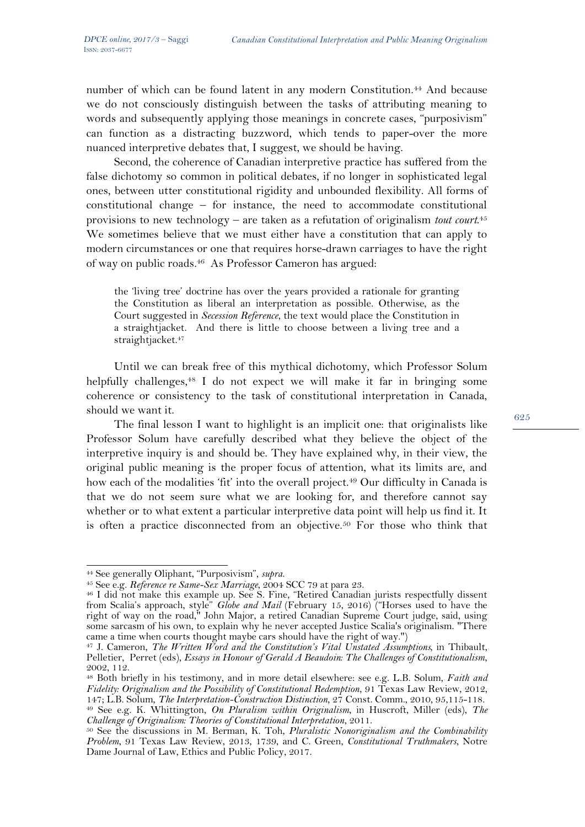number of which can be found latent in any modern Constitution.<sup>44</sup> And because we do not consciously distinguish between the tasks of attributing meaning to words and subsequently applying those meanings in concrete cases, "purposivism" can function as a distracting buzzword, which tends to paper-over the more nuanced interpretive debates that, I suggest, we should be having.

Second, the coherence of Canadian interpretive practice has suffered from the false dichotomy so common in political debates, if no longer in sophisticated legal ones, between utter constitutional rigidity and unbounded flexibility. All forms of constitutional change – for instance, the need to accommodate constitutional provisions to new technology – are taken as a refutation of originalism *tout court*. 45 We sometimes believe that we must either have a constitution that can apply to modern circumstances or one that requires horse-drawn carriages to have the right of way on public roads.46 As Professor Cameron has argued:

the 'living tree' doctrine has over the years provided a rationale for granting the Constitution as liberal an interpretation as possible. Otherwise, as the Court suggested in *Secession Reference*, the text would place the Constitution in a straightjacket. And there is little to choose between a living tree and a straightjacket.<sup>47</sup>

Until we can break free of this mythical dichotomy, which Professor Solum helpfully challenges,<sup>48</sup> I do not expect we will make it far in bringing some coherence or consistency to the task of constitutional interpretation in Canada, should we want it.

The final lesson I want to highlight is an implicit one: that originalists like Professor Solum have carefully described what they believe the object of the interpretive inquiry is and should be. They have explained why, in their view, the original public meaning is the proper focus of attention, what its limits are, and how each of the modalities 'fit' into the overall project.<sup>49</sup> Our difficulty in Canada is that we do not seem sure what we are looking for, and therefore cannot say whether or to what extent a particular interpretive data point will help us find it. It is often a practice disconnected from an objective.<sup>50</sup> For those who think that

 $\overline{a}$ <sup>44</sup> See generally Oliphant, "Purposivism", *supra*.

<sup>&</sup>lt;sup>45</sup> See e.g. *Reference re Same-Sex Marriage*, 2004 SCC 79 at para 23.

<sup>46</sup> I did not make this example up. See S. Fine, "Retired Canadian jurists respectfully dissent from Scalia's approach, style" *Globe and Mail* (February 15, 2016) ("Horses used to have the right of way on the road," John Major, a retired Canadian Supreme Court judge, said, using some sarcasm of his own, to explain why he never accepted Justice Scalia's originalism. "There came a time when courts thought maybe cars should have the right of way.")

<sup>47</sup> J. Cameron, *The Written Word and the Constitution's Vital Unstated Assumptions,* in Thibault, Pelletier, Perret (eds), *Essays in Honour of Gerald A Beaudoin: The Challenges of Constitutionalism*, 2002, 112.

<sup>48</sup> Both briefly in his testimony, and in more detail elsewhere: see e.g. L.B. Solum, *Faith and Fidelity: Originalism and the Possibility of Constitutional Redemption*, 91 Texas Law Review, 2012, 147; L.B. Solum, *The Interpretation-Construction Distinction*, 27 Const. Comm., 2010, 95,115-118. <sup>49</sup> See e.g. K. Whittington, *On Pluralism within Originalism*, in Huscroft, Miller (eds), *The Challenge of Originalism: Theories of Constitutional Interpretation*, 2011.

<sup>50</sup> See the discussions in M. Berman, K. Toh, *Pluralistic Nonoriginalism and the Combinability Problem*, 91 Texas Law Review, 2013, 1739, and C. Green, *Constitutional Truthmakers*, Notre Dame Journal of Law, Ethics and Public Policy, 2017.